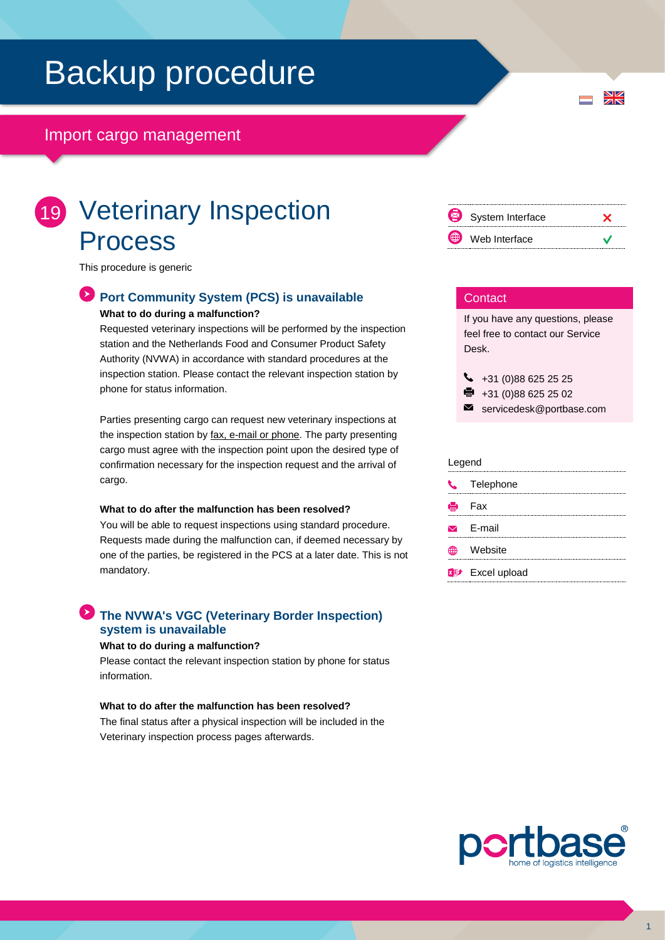## Backup procedure

## Import cargo management

## 19 Veterinary Inspection Process

This procedure is generic

## **Port Community System (PCS) is unavailable What to do during a malfunction?**

Requested veterinary inspections will be performed by the inspection station and the Netherlands Food and Consumer Product Safety Authority (NVWA) in accordance with standard procedures at the inspection station. Please contact the relevant inspection station by phone for status information.

Parties presenting cargo can request new veterinary inspections at the inspection station by fax, e-mail or phone. The party presenting cargo must agree with the inspection point upon the desired type of confirmation necessary for the inspection request and the arrival of cargo.

#### **What to do after the malfunction has been resolved?**

You will be able to request inspections using standard procedure. Requests made during the malfunction can, if deemed necessary by one of the parties, be registered in the PCS at a later date. This is not mandatory.

### **The NVWA's VGC (Veterinary Border Inspection) system is unavailable**

#### **What to do during a malfunction?**

Please contact the relevant inspection station by phone for status information.

#### **What to do after the malfunction has been resolved?**

The final status after a physical inspection will be included in the Veterinary inspection process pages afterwards.

| 图 | System Interface |  |
|---|------------------|--|
| ⊕ | Web Interface    |  |

#### **Contact**

If you have any questions, please feel free to contact our Service Desk.

 $\bigcup$  +31 (0)88 625 25 25  $\bullet$  +31 (0)88 625 25 02

 $\blacksquare$ servicedesk@portbase.com

#### Legend

| <b>L</b> Telephone      |
|-------------------------|
| e Fax                   |
| $\triangleright$ E-mail |
| <b><i>≞</i> Website</b> |
| <b>XD</b> Excel upload  |
|                         |



 $\frac{N}{N}$